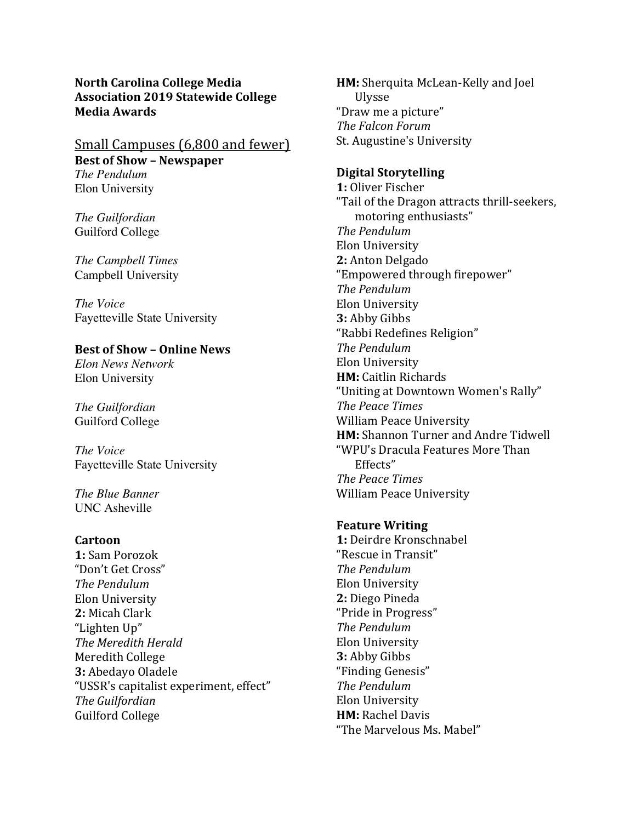**North Carolina College Media Association 2019 Statewide College Media Awards**

# Small Campuses (6,800 and fewer) **Best of Show - Newspaper** *The Pendulum* Elon University

*The Guilfordian* Guilford College

*The Campbell Times* Campbell University

*The Voice* Fayetteville State University

## **Best of Show – Online News**

*Elon News Network* Elon University

*The Guilfordian* Guilford College

*The Voice* Fayetteville State University

*The Blue Banner* UNC Asheville

#### **Cartoon**

1: Sam Porozok "Don't Get Cross" *The Pendulum* Elon University 2: Micah Clark "Lighten Up" *The Meredith Herald* Meredith College **3: Abedayo Oladele** "USSR's capitalist experiment, effect" *The Guilfordian* Guilford College

**HM:** Sherquita McLean-Kelly and Joel Ulysse "Draw me a picture" *The Falcon Forum* St. Augustine's University

## **Digital Storytelling**

1: Oliver Fischer "Tail of the Dragon attracts thrill-seekers, motoring enthusiasts" *The Pendulum* Elon University 2: Anton Delgado "Empowered through firepower" *The Pendulum* Elon University **3:** Abby Gibbs "Rabbi Redefines Religion" *The Pendulum* Elon University **HM:** Caitlin Richards "Uniting at Downtown Women's Rally" *The Peace Times* William Peace University **HM:** Shannon Turner and Andre Tidwell "WPU's Dracula Features More Than Effects" *The Peace Times* William Peace University

#### **Feature Writing**

**1:** Deirdre Kronschnabel "Rescue in Transit" *The Pendulum* Elon University 2: Diego Pineda "Pride in Progress" *The Pendulum* Elon University **3: Abby Gibbs** "Finding Genesis" *The Pendulum* Elon University **HM: Rachel Davis** "The Marvelous Ms. Mabel"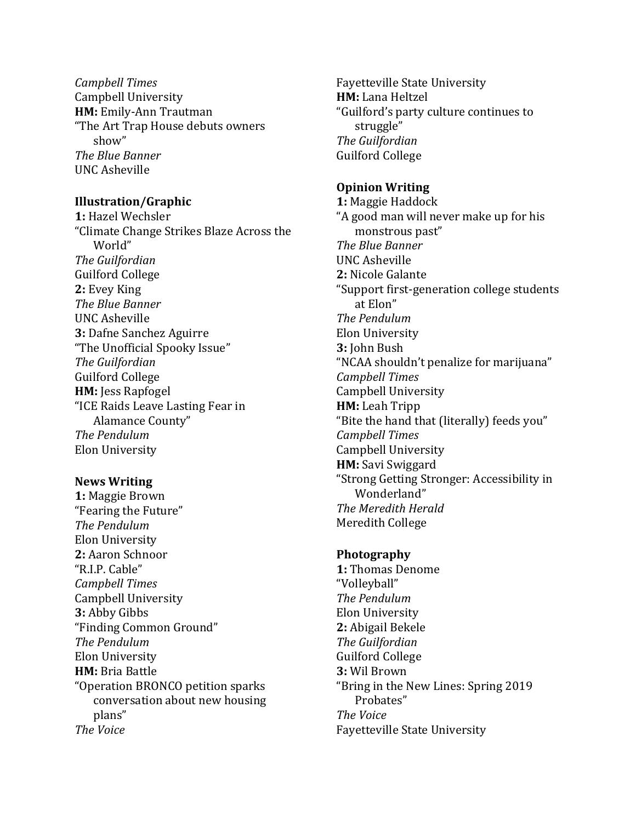*Campbell Times* Campbell University **HM:** Emily-Ann Trautman "The Art Trap House debuts owners show" *The Blue Banner* UNC Asheville

## **Illustration/Graphic**

**1:** Hazel Wechsler "Climate Change Strikes Blaze Across the World" *The Guilfordian* Guilford College 2: Evey King *The Blue Banner* UNC Asheville **3: Dafne Sanchez Aguirre** "The Unofficial Spooky Issue" *The Guilfordian* Guilford College **HM:** Jess Rapfogel "ICE Raids Leave Lasting Fear in Alamance County" *The Pendulum* Elon University

## **News Writing**

1: Maggie Brown "Fearing the Future" *The Pendulum* Elon University 2: Aaron Schnoor "R.I.P. Cable" *Campbell Times* Campbell University **3: Abby Gibbs** "Finding Common Ground" *The Pendulum* Elon University **HM:** Bria Battle "Operation BRONCO petition sparks conversation about new housing plans" *The Voice*

Fayetteville State University **HM:** Lana Heltzel "Guilford's party culture continues to struggle" *The Guilfordian* Guilford College

## **Opinion Writing**

**1:** Maggie Haddock "A good man will never make up for his monstrous past" *The Blue Banner* UNC Asheville 2: Nicole Galante "Support first-generation college students at Elon" *The Pendulum* Elon University **3: John Bush** "NCAA shouldn't penalize for marijuana" *Campbell Times* Campbell University **HM:** Leah Tripp "Bite the hand that (literally) feeds you" *Campbell Times* Campbell University **HM:** Savi Swiggard "Strong Getting Stronger: Accessibility in Wonderland" **The Meredith Herald** Meredith College

## **Photography**

**1:** Thomas Denome "Volleyball" *The Pendulum* Elon University 2: Abigail Bekele *The Guilfordian* Guilford College **3:** Wil Brown "Bring in the New Lines: Spring 2019 Probates" *The Voice* Fayetteville State University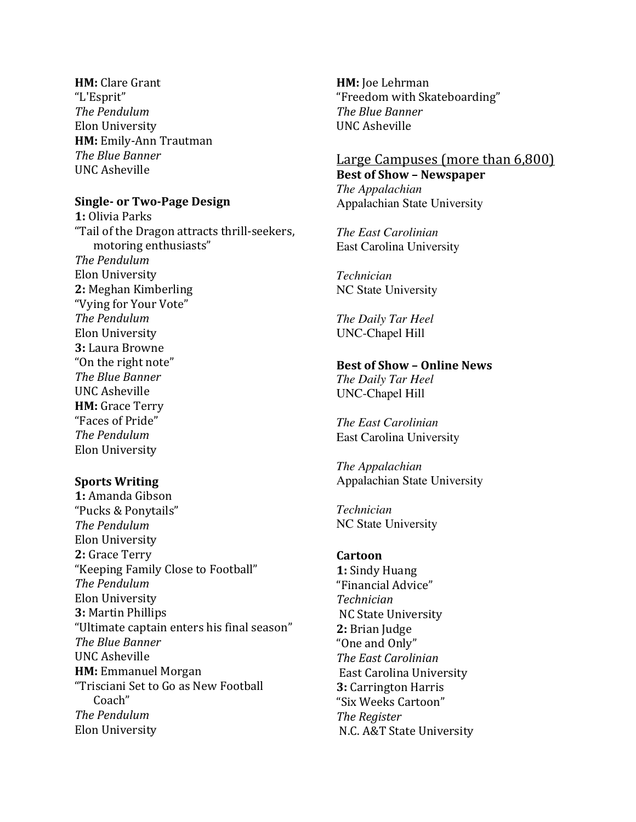**HM:** Clare Grant "L'Esprit" *The Pendulum* Elon University **HM:** Emily-Ann Trautman *The Blue Banner* UNC Asheville

# **Single- or Two-Page Design**

**1:** Olivia Parks "Tail of the Dragon attracts thrill-seekers, motoring enthusiasts" *The Pendulum* Elon University **2:** Meghan Kimberling "Vying for Your Vote" *The Pendulum* Elon University **3:** Laura Browne "On the right note" *The Blue Banner* UNC Asheville **HM:** Grace Terry "Faces of Pride" *The Pendulum* Elon University

## **Sports Writing**

1: Amanda Gibson "Pucks & Ponytails" *The Pendulum* Elon University 2: Grace Terry "Keeping Family Close to Football" *The Pendulum* Elon University **3: Martin Phillips** "Ultimate captain enters his final season" *The Blue Banner* UNC Asheville **HM:** Emmanuel Morgan "Trisciani Set to Go as New Football Coach" *The Pendulum* Elon University

**HM:** Joe Lehrman "Freedom with Skateboarding" *The Blue Banner* UNC Asheville

# Large Campuses (more than 6,800) **Best of Show – Newspaper**

*The Appalachian* Appalachian State University

*The East Carolinian* East Carolina University

*Technician* NC State University

*The Daily Tar Heel* UNC-Chapel Hill

### **Best of Show – Online News** *The Daily Tar Heel*

UNC-Chapel Hill

*The East Carolinian* East Carolina University

*The Appalachian* Appalachian State University

*Technician* NC State University

# **Cartoon**

1: Sindy Huang "Financial Advice" *Technician* NC State University 2: Brian Judge "One and Only" *The East Carolinian* East Carolina University **3:** Carrington Harris "Six Weeks Cartoon" *The Register* N.C. A&T State University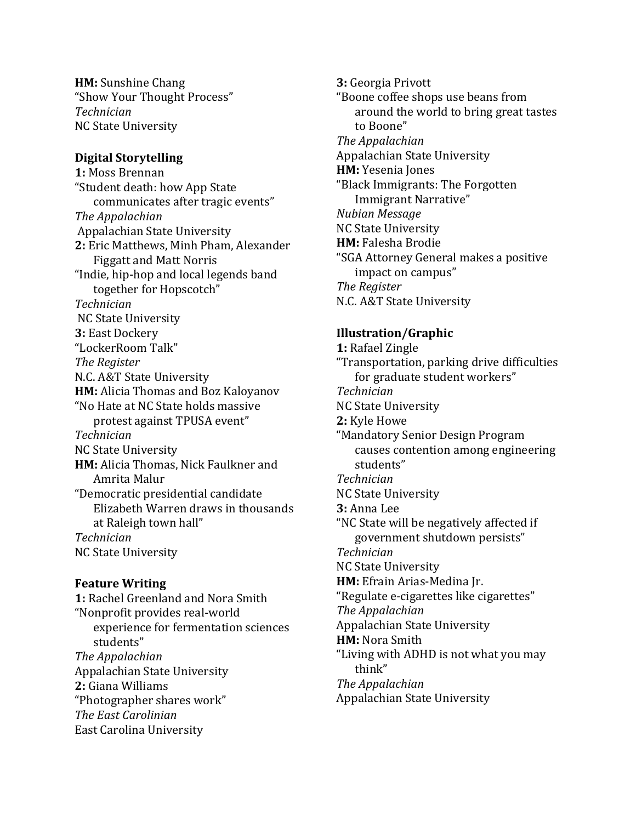**HM:** Sunshine Chang "Show Your Thought Process" *Technician* NC State University

## **Digital Storytelling**

1: Moss Brennan "Student death: how App State communicates after tragic events" *The Appalachian* Appalachian State University 2: Eric Matthews, Minh Pham, Alexander Figgatt and Matt Norris "Indie, hip-hop and local legends band together for Hopscotch" *Technician* NC State University **3: East Dockery** "LockerRoom Talk" *The Register* N.C. A&T State University **HM:** Alicia Thomas and Boz Kaloyanov "No Hate at NC State holds massive protest against TPUSA event" *Technician* NC State University **HM:** Alicia Thomas, Nick Faulkner and Amrita Malur "Democratic presidential candidate Elizabeth Warren draws in thousands at Raleigh town hall" *Technician* NC State University

### **Feature Writing**

**1:** Rachel Greenland and Nora Smith "Nonprofit provides real-world experience for fermentation sciences students" *The Appalachian* Appalachian State University **2:** Giana Williams "Photographer shares work" *The East Carolinian* East Carolina University

**3:** Georgia Privott "Boone coffee shops use beans from around the world to bring great tastes to Boone" *The Appalachian* Appalachian State University **HM:** Yesenia Jones "Black Immigrants: The Forgotten Immigrant Narrative" *Nubian Message* NC State University **HM:** Falesha Brodie "SGA Attorney General makes a positive impact on campus" *The Register* N.C. A&T State University

## **Illustration/Graphic**

1: Rafael Zingle "Transportation, parking drive difficulties for graduate student workers" *Technician* NC State University 2: Kyle Howe "Mandatory Senior Design Program causes contention among engineering students" *Technician* NC State University **3:** Anna Lee "NC State will be negatively affected if government shutdown persists" *Technician* NC State University **HM:** Efrain Arias-Medina Jr. "Regulate e-cigarettes like cigarettes" *The Appalachian* Appalachian State University **HM: Nora Smith** "Living with ADHD is not what you may think" *The Appalachian* Appalachian State University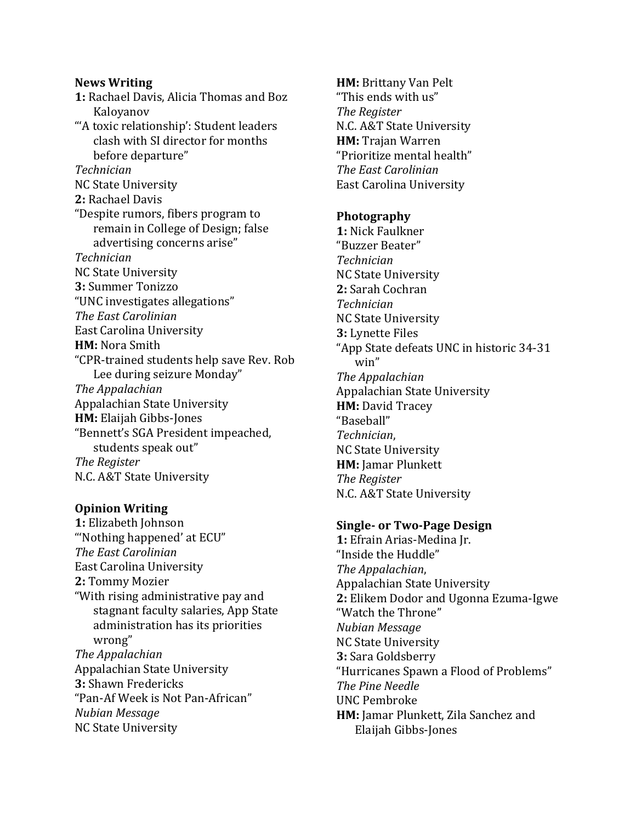# **News Writing**

1: Rachael Davis, Alicia Thomas and Boz Kaloyanov "'A toxic relationship': Student leaders clash with SI director for months before departure" *Technician* NC State University 2: Rachael Davis "Despite rumors, fibers program to remain in College of Design; false advertising concerns arise" *Technician* NC State University **3:** Summer Tonizzo "UNC investigates allegations" *The East Carolinian* East Carolina University **HM:** Nora Smith "CPR-trained students help save Rev. Rob Lee during seizure Monday" *The Appalachian* Appalachian State University **HM:** Elaijah Gibbs-Jones "Bennett's SGA President impeached, students speak out" *The Register* N.C. A&T State University

## **Opinion Writing**

**1:** Elizabeth Johnson "Nothing happened' at ECU" *The East Carolinian* East Carolina University 2: Tommy Mozier "With rising administrative pay and stagnant faculty salaries, App State administration has its priorities wrong" *The Appalachian* Appalachian State University **3: Shawn Fredericks** "Pan-Af Week is Not Pan-African" *Nubian Message* NC State University

**HM: Brittany Van Pelt** "This ends with us" *The Register* N.C. A&T State University **HM:** Trajan Warren "Prioritize mental health" *The East Carolinian* East Carolina University

## **Photography**

**1:** Nick Faulkner "Buzzer Beater" *Technician* NC State University **2:** Sarah Cochran *Technician* NC State University **3:** Lynette Files "App State defeats UNC in historic 34-31 win" *The Appalachian* Appalachian State University **HM: David Tracey** "Baseball" *Technician*, NC State University **HM:** Jamar Plunkett *The Register* N.C. A&T State University

## **Single- or Two-Page Design**

**1:** Efrain Arias-Medina Ir. "Inside the Huddle" *The Appalachian*, Appalachian State University **2:** Elikem Dodor and Ugonna Ezuma-Igwe "Watch the Throne" *Nubian Message* NC State University **3: Sara Goldsberry** "Hurricanes Spawn a Flood of Problems" *The Pine Needle* UNC Pembroke **HM:** Jamar Plunkett, Zila Sanchez and Elaijah Gibbs-Jones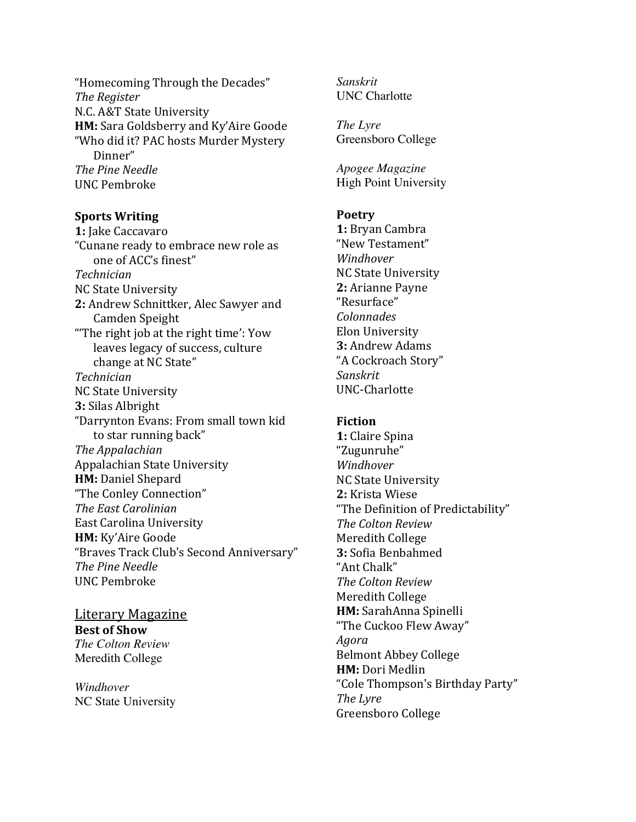"Homecoming Through the Decades" *The Register* N.C. A&T State University **HM:** Sara Goldsberry and Ky'Aire Goode "Who did it? PAC hosts Murder Mystery Dinner" *The Pine Needle* UNC Pembroke

### **Sports Writing**

1: Jake Caccavaro "Cunane ready to embrace new role as one of ACC's finest" *Technician* NC State University 2: Andrew Schnittker, Alec Sawyer and Camden Speight "The right job at the right time':  $Your$ leaves legacy of success, culture change at NC State" *Technician* NC State University **3:** Silas Albright "Darrynton Evans: From small town kid to star running back" *The Appalachian* Appalachian State University **HM: Daniel Shepard** "The Conley Connection" *The East Carolinian* East Carolina University **HM:** Ky'Aire Goode "Braves Track Club's Second Anniversary" *The Pine Needle* UNC Pembroke

Literary Magazine **Best of Show** *The Colton Review* Meredith College

*Windhover* NC State University *Sanskrit* UNC Charlotte

*The Lyre* Greensboro College

*Apogee Magazine* High Point University

### **Poetry**

**1:** Bryan Cambra "New Testament" *Windhover* NC State University **2:** Arianne Payne "Resurface" *Colonnades*  Elon University **3: Andrew Adams** "A Cockroach Story" *Sanskrit*  UNC-Charlotte

### **Fiction**

**1:** Claire Spina "Zugunruhe" *Windhover*  NC State University 2: Krista Wiese "The Definition of Predictability" *The Colton Review*  Meredith College **3:** Sofia Benbahmed "Ant Chalk" **The Colton Review** Meredith College **HM:** SarahAnna Spinelli "The Cuckoo Flew Away" *Agora*  Belmont Abbey College **HM:** Dori Medlin "Cole Thompson's Birthday Party" *The Lyre* Greensboro College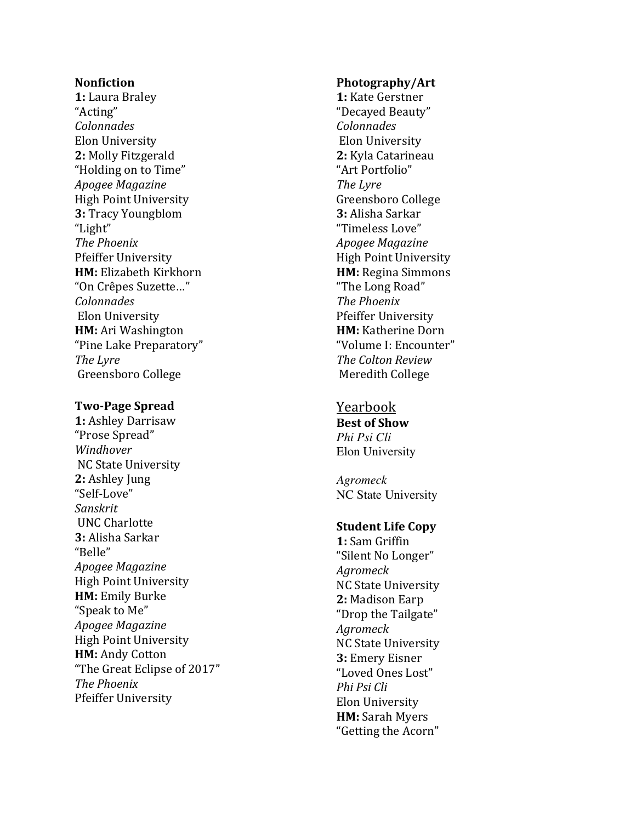### **Nonfiction**

**1:** Laura Braley "Acting" *Colonnades* Elon University 2: Molly Fitzgerald "Holding on to Time" *Apogee Magazine*  High Point University **3: Tracy Youngblom** "Light" **The Phoenix** Pfeiffer University **HM:** Elizabeth Kirkhorn "On Crêpes Suzette…" *Colonnades* Elon University **HM:** Ari Washington "Pine Lake Preparatory" *The Lyre* Greensboro College

### **Two -Page Spread**

**1: Ashley Darrisaw** "Prose Spread" *Windhover* NC State University 2: Ashley Jung "Self-Love" *Sanskrit* UNC Charlotte **3:** Alisha Sarkar "Belle" *Apogee Magazine* High Point University **HM:** Emily Burke "Speak to Me" *Apogee Magazine* High Point University **HM: Andy Cotton** "The Great Eclipse of 2017" **The Phoenix** Pfeiffer University

#### **Photography/Art**

1: Kate Gerstner "Decayed Beauty" *Colonnades* Elon University **2:** Kyla Catarineau "Art Portfolio" **The Lyre** Greensboro College **3:** Alisha Sarkar "Timeless Love" *Apogee Magazine* High Point University **HM:** Regina Simmons "The Long Road" *The Phoenix* Pfeiffer University **HM:** Katherine Dorn "Volume I: Encounter" *The Colton Review* Meredith College

# Yearbook

**Best of Show** *Phi Psi Cli* Elon University

*Agromeck* NC State University

## **Student Life Copy**

**1:** Sam Griffin "Silent No Longer" *Agromeck* NC State University **2: Madison Earp** "Drop the Tailgate" *Agromeck* NC State University **3: Emery Eisner** "Loved Ones Lost" *Phi Psi Cli* Elon University **HM:** Sarah Myers "Getting the Acorn"